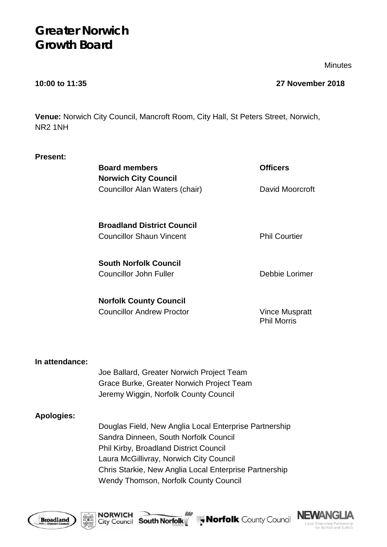# **Greater Norwich Growth Board**

**Minutes** 

# **10:00 to 11:35 27 November 2018**

**Venue:** Norwich City Council, Mancroft Room, City Hall, St Peters Street, Norwich, NR2 1NH

| <b>Present:</b>   |                                                                                                 |                                      |
|-------------------|-------------------------------------------------------------------------------------------------|--------------------------------------|
|                   | <b>Board members</b>                                                                            | <b>Officers</b>                      |
|                   | <b>Norwich City Council</b>                                                                     |                                      |
|                   | Councillor Alan Waters (chair)                                                                  | David Moorcroft                      |
|                   | <b>Broadland District Council</b>                                                               |                                      |
|                   | <b>Councillor Shaun Vincent</b>                                                                 | <b>Phil Courtier</b>                 |
|                   | <b>South Norfolk Council</b>                                                                    |                                      |
|                   | <b>Councillor John Fuller</b>                                                                   | Debbie Lorimer                       |
|                   | <b>Norfolk County Council</b>                                                                   |                                      |
|                   | <b>Councillor Andrew Proctor</b>                                                                | Vince Muspratt<br><b>Phil Morris</b> |
| In attendance:    |                                                                                                 |                                      |
|                   | Joe Ballard, Greater Norwich Project Team                                                       |                                      |
|                   | Grace Burke, Greater Norwich Project Team<br>Jeremy Wiggin, Norfolk County Council              |                                      |
| <b>Apologies:</b> |                                                                                                 |                                      |
|                   | Douglas Field, New Anglia Local Enterprise Partnership<br>Sandra Dinneen, South Norfolk Council |                                      |

Phil Kirby, Broadland District Council Laura McGillivray, Norwich City Council Chris Starkie, New Anglia Local Enterprise Partnership Wendy Thomson, Norfolk County Council





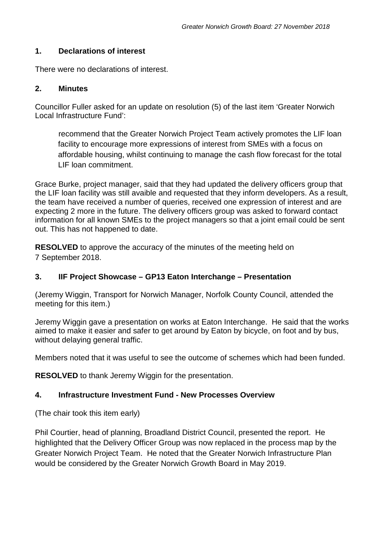#### **1. Declarations of interest**

There were no declarations of interest.

#### **2. Minutes**

Councillor Fuller asked for an update on resolution (5) of the last item 'Greater Norwich Local Infrastructure Fund':

recommend that the Greater Norwich Project Team actively promotes the LIF loan facility to encourage more expressions of interest from SMEs with a focus on affordable housing, whilst continuing to manage the cash flow forecast for the total LIF loan commitment.

Grace Burke, project manager, said that they had updated the delivery officers group that the LIF loan facility was still avaible and requested that they inform developers. As a result, the team have received a number of queries, received one expression of interest and are expecting 2 more in the future. The delivery officers group was asked to forward contact information for all known SMEs to the project managers so that a joint email could be sent out. This has not happened to date.

**RESOLVED** to approve the accuracy of the minutes of the meeting held on 7 September 2018.

### **3. IIF Project Showcase – GP13 Eaton Interchange – Presentation**

(Jeremy Wiggin, Transport for Norwich Manager, Norfolk County Council, attended the meeting for this item.)

Jeremy Wiggin gave a presentation on works at Eaton Interchange. He said that the works aimed to make it easier and safer to get around by Eaton by bicycle, on foot and by bus, without delaying general traffic.

Members noted that it was useful to see the outcome of schemes which had been funded.

**RESOLVED** to thank Jeremy Wiggin for the presentation.

### **4. Infrastructure Investment Fund - New Processes Overview**

(The chair took this item early)

Phil Courtier, head of planning, Broadland District Council, presented the report. He highlighted that the Delivery Officer Group was now replaced in the process map by the Greater Norwich Project Team. He noted that the Greater Norwich Infrastructure Plan would be considered by the Greater Norwich Growth Board in May 2019.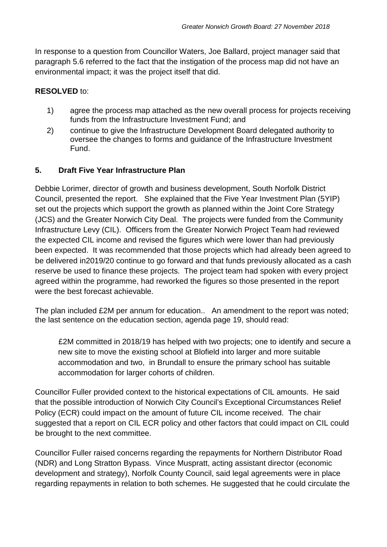In response to a question from Councillor Waters, Joe Ballard, project manager said that paragraph 5.6 referred to the fact that the instigation of the process map did not have an environmental impact; it was the project itself that did.

#### **RESOLVED** to:

- 1) agree the process map attached as the new overall process for projects receiving funds from the Infrastructure Investment Fund; and
- 2) continue to give the Infrastructure Development Board delegated authority to oversee the changes to forms and guidance of the Infrastructure Investment Fund.

### **5. Draft Five Year Infrastructure Plan**

Debbie Lorimer, director of growth and business development, South Norfolk District Council, presented the report. She explained that the Five Year Investment Plan (5YIP) set out the projects which support the growth as planned within the Joint Core Strategy (JCS) and the Greater Norwich City Deal. The projects were funded from the Community Infrastructure Levy (CIL). Officers from the Greater Norwich Project Team had reviewed the expected CIL income and revised the figures which were lower than had previously been expected. It was recommended that those projects which had already been agreed to be delivered in2019/20 continue to go forward and that funds previously allocated as a cash reserve be used to finance these projects. The project team had spoken with every project agreed within the programme, had reworked the figures so those presented in the report were the best forecast achievable.

The plan included £2M per annum for education.. An amendment to the report was noted; the last sentence on the education section, agenda page 19, should read:

£2M committed in 2018/19 has helped with two projects; one to identify and secure a new site to move the existing school at Blofield into larger and more suitable accommodation and two, in Brundall to ensure the primary school has suitable accommodation for larger cohorts of children.

Councillor Fuller provided context to the historical expectations of CIL amounts. He said that the possible introduction of Norwich City Council's Exceptional Circumstances Relief Policy (ECR) could impact on the amount of future CIL income received. The chair suggested that a report on CIL ECR policy and other factors that could impact on CIL could be brought to the next committee.

Councillor Fuller raised concerns regarding the repayments for Northern Distributor Road (NDR) and Long Stratton Bypass. Vince Muspratt, acting assistant director (economic development and strategy), Norfolk County Council, said legal agreements were in place regarding repayments in relation to both schemes. He suggested that he could circulate the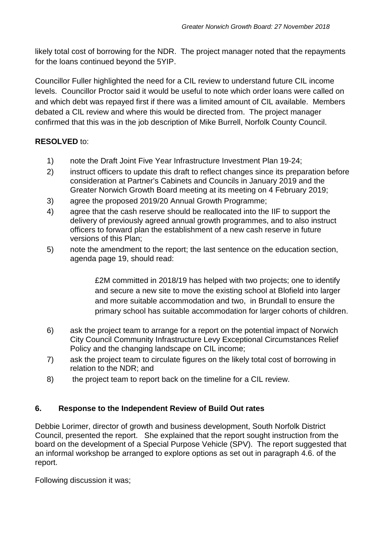likely total cost of borrowing for the NDR. The project manager noted that the repayments for the loans continued beyond the 5YIP.

Councillor Fuller highlighted the need for a CIL review to understand future CIL income levels. Councillor Proctor said it would be useful to note which order loans were called on and which debt was repayed first if there was a limited amount of CIL available. Members debated a CIL review and where this would be directed from. The project manager confirmed that this was in the job description of Mike Burrell, Norfolk County Council.

# **RESOLVED** to:

- 1) note the Draft Joint Five Year Infrastructure Investment Plan 19-24;
- 2) instruct officers to update this draft to reflect changes since its preparation before consideration at Partner's Cabinets and Councils in January 2019 and the Greater Norwich Growth Board meeting at its meeting on 4 February 2019;
- 3) agree the proposed 2019/20 Annual Growth Programme;
- 4) agree that the cash reserve should be reallocated into the IIF to support the delivery of previously agreed annual growth programmes, and to also instruct officers to forward plan the establishment of a new cash reserve in future versions of this Plan;
- 5) note the amendment to the report; the last sentence on the education section, agenda page 19, should read:

£2M committed in 2018/19 has helped with two projects; one to identify and secure a new site to move the existing school at Blofield into larger and more suitable accommodation and two, in Brundall to ensure the primary school has suitable accommodation for larger cohorts of children.

- 6) ask the project team to arrange for a report on the potential impact of Norwich City Council Community Infrastructure Levy Exceptional Circumstances Relief Policy and the changing landscape on CIL income;
- 7) ask the project team to circulate figures on the likely total cost of borrowing in relation to the NDR; and
- 8) the project team to report back on the timeline for a CIL review.

# **6. Response to the Independent Review of Build Out rates**

Debbie Lorimer, director of growth and business development, South Norfolk District Council, presented the report. She explained that the report sought instruction from the board on the development of a Special Purpose Vehicle (SPV). The report suggested that an informal workshop be arranged to explore options as set out in paragraph 4.6. of the report.

Following discussion it was;